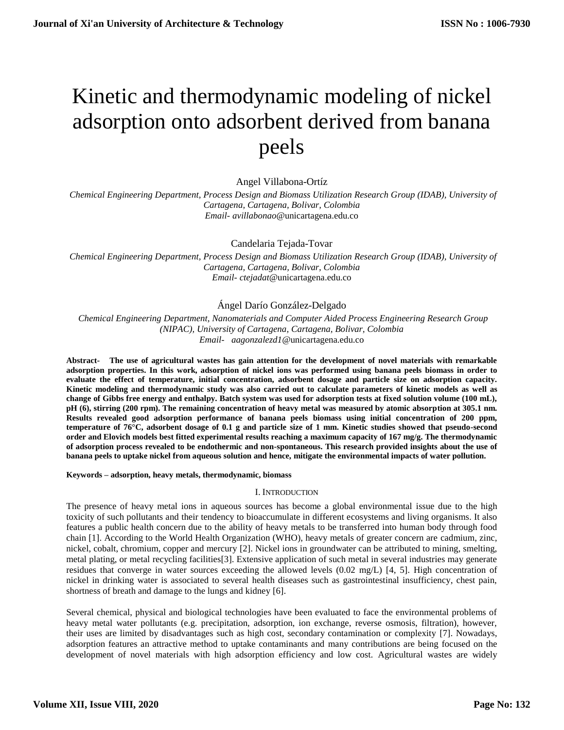# Kinetic and thermodynamic modeling of nickel adsorption onto adsorbent derived from banana peels

Angel Villabona-Ortíz

 *Chemical Engineering Department, Process Design and Biomass Utilization Research Group (IDAB), University of Cartagena, Cartagena, Bolivar, Colombia Email- avillabonao*@unicartagena.edu.co

Candelaria Tejada-Tovar

 *Chemical Engineering Department, Process Design and Biomass Utilization Research Group (IDAB), University of Cartagena, Cartagena, Bolivar, Colombia Email- ctejadat*@unicartagena.edu.co

## Ángel Darío González-Delgado

 *Chemical Engineering Department, Nanomaterials and Computer Aided Process Engineering Research Group (NIPAC), University of Cartagena, Cartagena, Bolivar, Colombia [Email-](mailto:Email-%20%20%20anuradhamit@gmail.com) aagonzalezd1*@unicartagena.edu.co

**Abstract- The use of agricultural wastes has gain attention for the development of novel materials with remarkable adsorption properties. In this work, adsorption of nickel ions was performed using banana peels biomass in order to evaluate the effect of temperature, initial concentration, adsorbent dosage and particle size on adsorption capacity. Kinetic modeling and thermodynamic study was also carried out to calculate parameters of kinetic models as well as change of Gibbs free energy and enthalpy. Batch system was used for adsorption tests at fixed solution volume (100 mL), pH (6), stirring (200 rpm). The remaining concentration of heavy metal was measured by atomic absorption at 305.1 nm. Results revealed good adsorption performance of banana peels biomass using initial concentration of 200 ppm, temperature of 76°C, adsorbent dosage of 0.1 g and particle size of 1 mm. Kinetic studies showed that pseudo-second order and Elovich models best fitted experimental results reaching a maximum capacity of 167 mg/g. The thermodynamic of adsorption process revealed to be endothermic and non-spontaneous. This research provided insights about the use of banana peels to uptake nickel from aqueous solution and hence, mitigate the environmental impacts of water pollution.**

**Keywords – adsorption, heavy metals, thermodynamic, biomass**

## I. INTRODUCTION

The presence of heavy metal ions in aqueous sources has become a global environmental issue due to the high toxicity of such pollutants and their tendency to bioaccumulate in different ecosystems and living organisms. It also features a public health concern due to the ability of heavy metals to be transferred into human body through food chain [1]. According to the World Health Organization (WHO), heavy metals of greater concern are cadmium, zinc, nickel, cobalt, chromium, copper and mercury [2]. Nickel ions in groundwater can be attributed to mining, smelting, metal plating, or metal recycling facilities[3]. Extensive application of such metal in several industries may generate residues that converge in water sources exceeding the allowed levels (0.02 mg/L) [4, 5]. High concentration of nickel in drinking water is associated to several health diseases such as gastrointestinal insufficiency, chest pain, shortness of breath and damage to the lungs and kidney [6].

Several chemical, physical and biological technologies have been evaluated to face the environmental problems of heavy metal water pollutants (e.g. precipitation, adsorption, ion exchange, reverse osmosis, filtration), however, their uses are limited by disadvantages such as high cost, secondary contamination or complexity [7]. Nowadays, adsorption features an attractive method to uptake contaminants and many contributions are being focused on the development of novel materials with high adsorption efficiency and low cost. Agricultural wastes are widely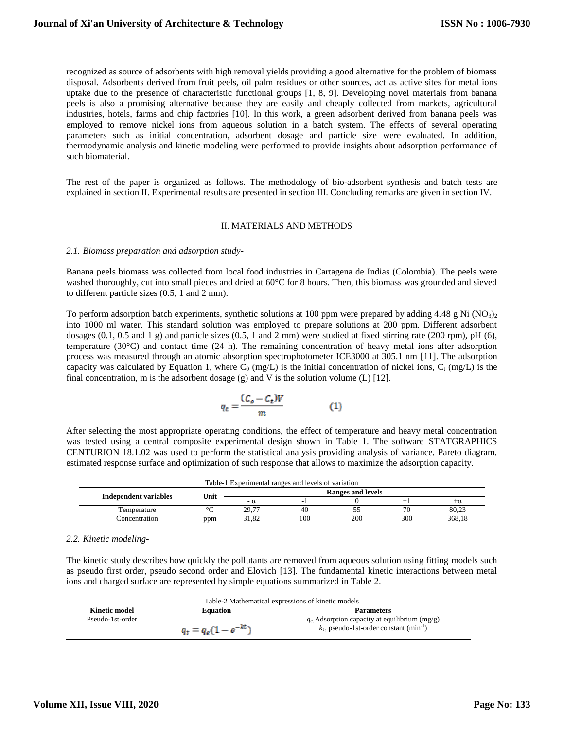recognized as source of adsorbents with high removal yields providing a good alternative for the problem of biomass disposal. Adsorbents derived from fruit peels, oil palm residues or other sources, act as active sites for metal ions uptake due to the presence of characteristic functional groups [1, 8, 9]. Developing novel materials from banana peels is also a promising alternative because they are easily and cheaply collected from markets, agricultural industries, hotels, farms and chip factories [10]. In this work, a green adsorbent derived from banana peels was employed to remove nickel ions from aqueous solution in a batch system. The effects of several operating parameters such as initial concentration, adsorbent dosage and particle size were evaluated. In addition, thermodynamic analysis and kinetic modeling were performed to provide insights about adsorption performance of such biomaterial.

The rest of the paper is organized as follows. The methodology of bio-adsorbent synthesis and batch tests are explained in section II. Experimental results are presented in section III. Concluding remarks are given in section IV.

## II. MATERIALS AND METHODS

#### *2.1. Biomass preparation and adsorption study-*

Banana peels biomass was collected from local food industries in Cartagena de Indias (Colombia). The peels were washed thoroughly, cut into small pieces and dried at  $60^{\circ}$ C for 8 hours. Then, this biomass was grounded and sieved to different particle sizes (0.5, 1 and 2 mm).

To perform adsorption batch experiments, synthetic solutions at 100 ppm were prepared by adding 4.48 g Ni (NO<sub>3)2</sub> into 1000 ml water. This standard solution was employed to prepare solutions at 200 ppm. Different adsorbent dosages  $(0.1, 0.5 \text{ and } 1 \text{ g})$  and particle sizes  $(0.5, 1 \text{ and } 2 \text{ mm})$  were studied at fixed stirring rate  $(200 \text{ rpm})$ , pH  $(6)$ , temperature (30°C) and contact time (24 h). The remaining concentration of heavy metal ions after adsorption process was measured through an atomic absorption spectrophotometer ICE3000 at 305.1 nm [11]. The adsorption capacity was calculated by Equation 1, where  $C_0$  (mg/L) is the initial concentration of nickel ions,  $C_t$  (mg/L) is the final concentration, m is the adsorbent dosage  $(g)$  and V is the solution volume  $(L)$  [12].

$$
q_t = \frac{(C_o - C_t)V}{m} \tag{1}
$$

After selecting the most appropriate operating conditions, the effect of temperature and heavy metal concentration was tested using a central composite experimental design shown in Table 1. The software STATGRAPHICS CENTURION 18.1.02 was used to perform the statistical analysis providing analysis of variance, Pareto diagram, estimated response surface and optimization of such response that allows to maximize the adsorption capacity.

| Table-1 Experimental ranges and levels of variation |      |           |     |     |                   |           |  |
|-----------------------------------------------------|------|-----------|-----|-----|-------------------|-----------|--|
|                                                     |      |           |     |     | Ranges and levels |           |  |
| <b>Independent variables</b>                        | Unit | $-\alpha$ |     |     |                   | $+\alpha$ |  |
| Temperature                                         |      | 29.77     | 40  |     | 70                | 80,23     |  |
| Concentration                                       | ppm  | 31.82     | 100 | 200 | 300               | 368.18    |  |

## *2.2. Kinetic modeling-*

The kinetic study describes how quickly the pollutants are removed from aqueous solution using fitting models such as pseudo first order, pseudo second order and Elovich [13]. The fundamental kinetic interactions between metal ions and charged surface are represented by simple equations summarized in Table 2.

| Table-2 Mathematical expressions of kinetic models |                          |                                                        |  |  |
|----------------------------------------------------|--------------------------|--------------------------------------------------------|--|--|
| Kinetic model                                      | <b>Equation</b>          | <b>Parameters</b>                                      |  |  |
| Pseudo-1st-order                                   |                          | $q_e$ . Adsorption capacity at equilibrium (mg/g)      |  |  |
|                                                    | $q_t = q_e(1 - e^{-kt})$ | $k_l$ , pseudo-1st-order constant (min <sup>-1</sup> ) |  |  |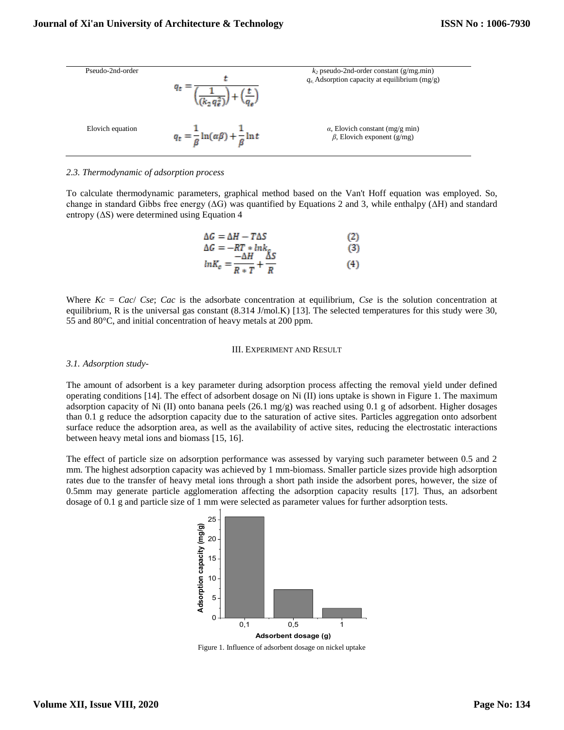

### *2.3. Thermodynamic of adsorption process*

To calculate thermodynamic parameters, graphical method based on the Van't Hoff equation was employed. So, change in standard Gibbs free energy ( $\Delta G$ ) was quantified by Equations 2 and 3, while enthalpy ( $\Delta H$ ) and standard entropy  $( \Delta S)$  were determined using Equation 4

$$
\Delta G = \Delta H - T\Delta S \tag{2}
$$
  
\n
$$
\Delta G = -RT * ln k_c \tag{3}
$$
  
\n
$$
ln K_c = \frac{-\Delta H}{R * T} + \frac{\Delta S}{R} \tag{4}
$$

Where *Kc* = *Cac*/ *Cse*; *Cac* is the adsorbate concentration at equilibrium, *Cse* is the solution concentration at equilibrium, R is the universal gas constant (8.314 J/mol.K) [13]. The selected temperatures for this study were 30, 55 and 80°C, and initial concentration of heavy metals at 200 ppm.

#### III. EXPERIMENT AND RESULT

#### *3.1. Adsorption study-*

The amount of adsorbent is a key parameter during adsorption process affecting the removal yield under defined operating conditions [14]. The effect of adsorbent dosage on Ni (II) ions uptake is shown in Figure 1. The maximum adsorption capacity of Ni (II) onto banana peels (26.1 mg/g) was reached using 0.1 g of adsorbent. Higher dosages than 0.1 g reduce the adsorption capacity due to the saturation of active sites. Particles aggregation onto adsorbent surface reduce the adsorption area, as well as the availability of active sites, reducing the electrostatic interactions between heavy metal ions and biomass [15, 16].

The effect of particle size on adsorption performance was assessed by varying such parameter between 0.5 and 2 mm. The highest adsorption capacity was achieved by 1 mm-biomass. Smaller particle sizes provide high adsorption rates due to the transfer of heavy metal ions through a short path inside the adsorbent pores, however, the size of 0.5mm may generate particle agglomeration affecting the adsorption capacity results [17]. Thus, an adsorbent dosage of 0.1 g and particle size of 1 mm were selected as parameter values for further adsorption tests.



Figure 1. Influence of adsorbent dosage on nickel uptake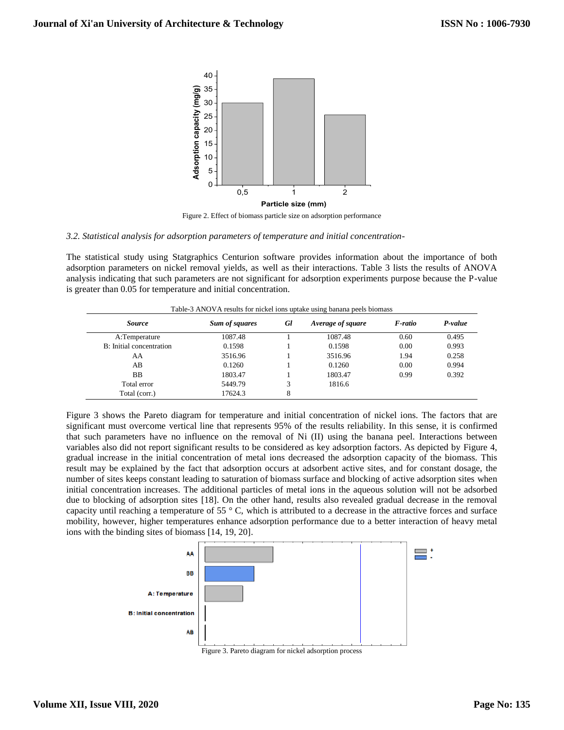

Figure 2. Effect of biomass particle size on adsorption performance

#### *3.2. Statistical analysis for adsorption parameters of temperature and initial concentration-*

The statistical study using Statgraphics Centurion software provides information about the importance of both adsorption parameters on nickel removal yields, as well as their interactions. Table 3 lists the results of ANOVA analysis indicating that such parameters are not significant for adsorption experiments purpose because the P-value is greater than 0.05 for temperature and initial concentration.

| <i>Source</i>            | Sum of squares | Gl | Average of square | F-ratio | P-value |
|--------------------------|----------------|----|-------------------|---------|---------|
| A:Temperature            | 1087.48        |    | 1087.48           | 0.60    | 0.495   |
| B: Initial concentration | 0.1598         |    | 0.1598            | 0.00    | 0.993   |
| AA                       | 3516.96        |    | 3516.96           | 1.94    | 0.258   |
| AB                       | 0.1260         |    | 0.1260            | 0.00    | 0.994   |
| <b>BB</b>                | 1803.47        |    | 1803.47           | 0.99    | 0.392   |
| Total error              | 5449.79        | 3  | 1816.6            |         |         |
| Total (corr.)            | 17624.3        | 8  |                   |         |         |

Figure 3 shows the Pareto diagram for temperature and initial concentration of nickel ions. The factors that are significant must overcome vertical line that represents 95% of the results reliability. In this sense, it is confirmed that such parameters have no influence on the removal of Ni (II) using the banana peel. Interactions between variables also did not report significant results to be considered as key adsorption factors. As depicted by Figure 4, gradual increase in the initial concentration of metal ions decreased the adsorption capacity of the biomass. This result may be explained by the fact that adsorption occurs at adsorbent active sites, and for constant dosage, the number of sites keeps constant leading to saturation of biomass surface and blocking of active adsorption sites when initial concentration increases. The additional particles of metal ions in the aqueous solution will not be adsorbed due to blocking of adsorption sites [18]. On the other hand, results also revealed gradual decrease in the removal capacity until reaching a temperature of 55  $\degree$  C, which is attributed to a decrease in the attractive forces and surface mobility, however, higher temperatures enhance adsorption performance due to a better interaction of heavy metal ions with the binding sites of biomass [14, 19, 20].



Figure 3. Pareto diagram for nickel adsorption process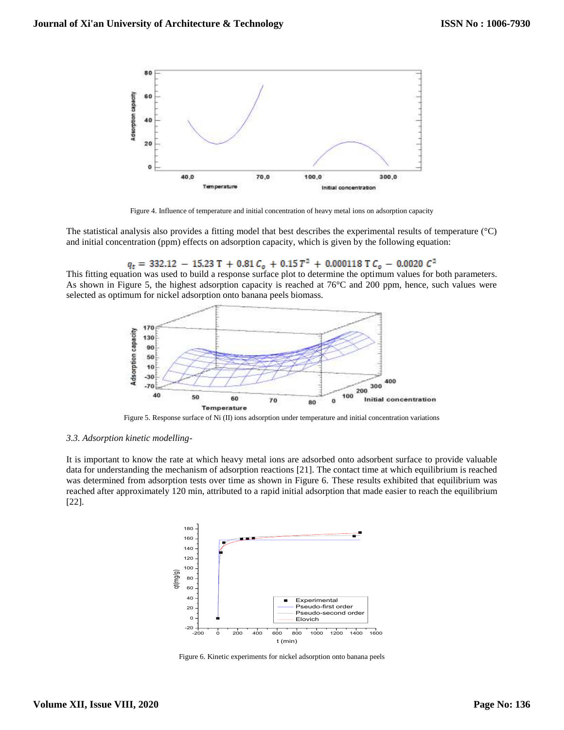

Figure 4. Influence of temperature and initial concentration of heavy metal ions on adsorption capacity

The statistical analysis also provides a fitting model that best describes the experimental results of temperature (°C) and initial concentration (ppm) effects on adsorption capacity, which is given by the following equation:

 $q_t$  = 332.12 - 15.23 T + 0.81  $C_o$  + 0.15  $T^2$  + 0.000118 T  $C_o$  - 0.0020  $C^2$ 

This fitting equation was used to build a response surface plot to determine the optimum values for both parameters. As shown in Figure 5, the highest adsorption capacity is reached at 76°C and 200 ppm, hence, such values were selected as optimum for nickel adsorption onto banana peels biomass.



Figure 5. Response surface of Ni (II) ions adsorption under temperature and initial concentration variations

#### *3.3. Adsorption kinetic modelling-*

It is important to know the rate at which heavy metal ions are adsorbed onto adsorbent surface to provide valuable data for understanding the mechanism of adsorption reactions [21]. The contact time at which equilibrium is reached was determined from adsorption tests over time as shown in Figure 6. These results exhibited that equilibrium was reached after approximately 120 min, attributed to a rapid initial adsorption that made easier to reach the equilibrium [22].



Figure 6. Kinetic experiments for nickel adsorption onto banana peels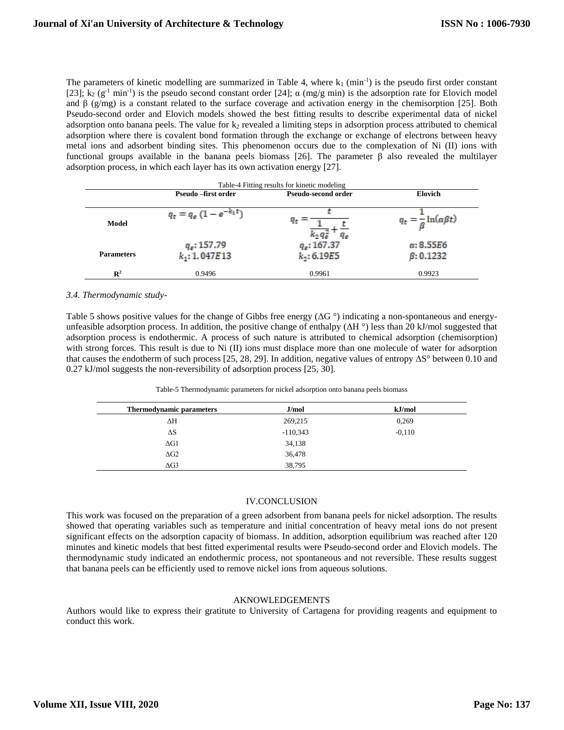The parameters of kinetic modelling are summarized in Table 4, where  $k_1$  (min<sup>-1</sup>) is the pseudo first order constant [23];  $k_2$  (g<sup>-1</sup> min<sup>-1</sup>) is the pseudo second constant order [24];  $\alpha$  (mg/g min) is the adsorption rate for Elovich model and  $\beta$  (g/mg) is a constant related to the surface coverage and activation energy in the chemisorption [25]. Both Pseudo-second order and Elovich models showed the best fitting results to describe experimental data of nickel adsorption onto banana peels. The value for  $k_2$  revealed a limiting steps in adsorption process attributed to chemical adsorption where there is covalent bond formation through the exchange or exchange of electrons between heavy metal ions and adsorbent binding sites. This phenomenon occurs due to the complexation of Ni (II) ions with functional groups available in the banana peels biomass [26]. The parameter β also revealed the multilayer adsorption process, in which each layer has its own activation energy [27].

|                   |                                    | Table-4 Fitting results for kinetic modeling |                                             |
|-------------------|------------------------------------|----------------------------------------------|---------------------------------------------|
|                   | Pseudo – first order               | <b>Pseudo-second order</b>                   | <b>Elovich</b>                              |
| Model             | $q_t = q_e (1 - e^{-k_1 t})$       | $q_t =$<br>$k_2 q_0^2$                       | $q_t = \frac{1}{\beta} \ln(\alpha \beta t)$ |
| <b>Parameters</b> | $q_e$ : 157.79<br>$k_1$ : 1.047E13 | $q_e$ : 167.37<br>$k_2$ : 6.19E5             | $\alpha$ : 8.55E6<br>$\beta$ : 0.1232       |
| $\mathbb{R}^2$    | 0.9496                             | 0.9961                                       | 0.9923                                      |

## *3.4. Thermodynamic study-*

Table 5 shows positive values for the change of Gibbs free energy ( $\Delta G^{\circ}$ ) indicating a non-spontaneous and energyunfeasible adsorption process. In addition, the positive change of enthalpy  $(\Delta H^{\circ})$  less than 20 kJ/mol suggested that adsorption process is endothermic. A process of such nature is attributed to chemical adsorption (chemisorption) with strong forces. This result is due to Ni (II) ions must displace more than one molecule of water for adsorption that causes the endotherm of such process [25, 28, 29]. In addition, negative values of entropy  $\Delta S^{\circ}$  between 0.10 and 0.27 kJ/mol suggests the non-reversibility of adsorption process [25, 30].

Table-5 Thermodynamic parameters for nickel adsorption onto banana peels biomass

| <b>Thermodynamic parameters</b> | J/mol      | kJ/mol   |
|---------------------------------|------------|----------|
| ΔΗ                              | 269,215    | 0,269    |
| $\Delta S$                      | $-110,343$ | $-0.110$ |
| $\Delta G1$                     | 34,138     |          |
| $\Delta$ G2                     | 36,478     |          |
| $\Delta$ G3                     | 38,795     |          |

## IV.CONCLUSION

This work was focused on the preparation of a green adsorbent from banana peels for nickel adsorption. The results showed that operating variables such as temperature and initial concentration of heavy metal ions do not present significant effects on the adsorption capacity of biomass. In addition, adsorption equilibrium was reached after 120 minutes and kinetic models that best fitted experimental results were Pseudo-second order and Elovich models. The thermodynamic study indicated an endothermic process, not spontaneous and not reversible. These results suggest that banana peels can be efficiently used to remove nickel ions from aqueous solutions.

## AKNOWLEDGEMENTS

Authors would like to express their gratitute to University of Cartagena for providing reagents and equipment to conduct this work.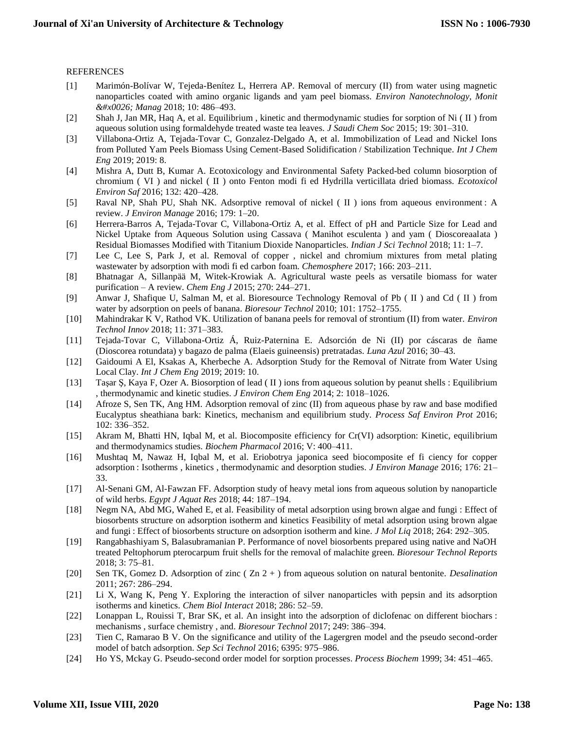## REFERENCES

- [1] Marimón-Bolívar W, Tejeda-Benítez L, Herrera AP. Removal of mercury (II) from water using magnetic nanoparticles coated with amino organic ligands and yam peel biomass. *Environ Nanotechnology, Monit & Manag* 2018; 10: 486–493.
- [2] Shah J, Jan MR, Haq A, et al. Equilibrium , kinetic and thermodynamic studies for sorption of Ni ( II ) from aqueous solution using formaldehyde treated waste tea leaves. *J Saudi Chem Soc* 2015; 19: 301–310.
- [3] Villabona-Ortiz A, Tejada-Tovar C, Gonzalez-Delgado A, et al. Immobilization of Lead and Nickel Ions from Polluted Yam Peels Biomass Using Cement-Based Solidification / Stabilization Technique. *Int J Chem Eng* 2019; 2019: 8.
- [4] Mishra A, Dutt B, Kumar A. Ecotoxicology and Environmental Safety Packed-bed column biosorption of chromium ( VI ) and nickel ( II ) onto Fenton modi fi ed Hydrilla verticillata dried biomass. *Ecotoxicol Environ Saf* 2016; 132: 420–428.
- [5] Raval NP, Shah PU, Shah NK. Adsorptive removal of nickel ( II ) ions from aqueous environment : A review. *J Environ Manage* 2016; 179: 1–20.
- [6] Herrera-Barros A, Tejada-Tovar C, Villabona-Ortiz A, et al. Effect of pH and Particle Size for Lead and Nickel Uptake from Aqueous Solution using Cassava ( Manihot esculenta ) and yam ( Dioscoreaalata ) Residual Biomasses Modified with Titanium Dioxide Nanoparticles. *Indian J Sci Technol* 2018; 11: 1–7.
- [7] Lee C, Lee S, Park J, et al. Removal of copper , nickel and chromium mixtures from metal plating wastewater by adsorption with modi fi ed carbon foam. *Chemosphere* 2017; 166: 203–211.
- [8] Bhatnagar A, Sillanpää M, Witek-Krowiak A. Agricultural waste peels as versatile biomass for water purification – A review. *Chem Eng J* 2015; 270: 244–271.
- [9] Anwar J, Shafique U, Salman M, et al. Bioresource Technology Removal of Pb ( II ) and Cd ( II ) from water by adsorption on peels of banana. *Bioresour Technol* 2010; 101: 1752–1755.
- [10] Mahindrakar K V, Rathod VK. Utilization of banana peels for removal of strontium (II) from water. *Environ Technol Innov* 2018; 11: 371–383.
- [11] Tejada-Tovar C, Villabona-Ortiz Á, Ruiz-Paternina E. Adsorción de Ni (II) por cáscaras de ñame (Dioscorea rotundata) y bagazo de palma (Elaeis guineensis) pretratadas. *Luna Azul* 2016; 30–43.
- [12] Gaidoumi A El, Ksakas A, Kherbeche A. Adsorption Study for the Removal of Nitrate from Water Using Local Clay. *Int J Chem Eng* 2019; 2019: 10.
- [13] Taşar Ş, Kaya F, Ozer A. Biosorption of lead ( II ) ions from aqueous solution by peanut shells : Equilibrium , thermodynamic and kinetic studies. *J Environ Chem Eng* 2014; 2: 1018–1026.
- [14] Afroze S, Sen TK, Ang HM. Adsorption removal of zinc (II) from aqueous phase by raw and base modified Eucalyptus sheathiana bark: Kinetics, mechanism and equilibrium study. *Process Saf Environ Prot* 2016; 102: 336–352.
- [15] Akram M, Bhatti HN, Iqbal M, et al. Biocomposite efficiency for Cr(VI) adsorption: Kinetic, equilibrium and thermodynamics studies. *Biochem Pharmacol* 2016; V: 400–411.
- [16] Mushtaq M, Nawaz H, Iqbal M, et al. Eriobotrya japonica seed biocomposite ef fi ciency for copper adsorption : Isotherms , kinetics , thermodynamic and desorption studies. *J Environ Manage* 2016; 176: 21– 33.
- [17] Al-Senani GM, Al-Fawzan FF. Adsorption study of heavy metal ions from aqueous solution by nanoparticle of wild herbs. *Egypt J Aquat Res* 2018; 44: 187–194.
- [18] Negm NA, Abd MG, Wahed E, et al. Feasibility of metal adsorption using brown algae and fungi : Effect of biosorbents structure on adsorption isotherm and kinetics Feasibility of metal adsorption using brown algae and fungi : Effect of biosorbents structure on adsorption isotherm and kine. *J Mol Liq* 2018; 264: 292–305.
- [19] Rangabhashiyam S, Balasubramanian P. Performance of novel biosorbents prepared using native and NaOH treated Peltophorum pterocarpum fruit shells for the removal of malachite green. *Bioresour Technol Reports* 2018; 3: 75–81.
- [20] Sen TK, Gomez D. Adsorption of zinc ( Zn 2 + ) from aqueous solution on natural bentonite. *Desalination* 2011; 267: 286–294.
- [21] Li X, Wang K, Peng Y. Exploring the interaction of silver nanoparticles with pepsin and its adsorption isotherms and kinetics. *Chem Biol Interact* 2018; 286: 52–59.
- [22] Lonappan L, Rouissi T, Brar SK, et al. An insight into the adsorption of diclofenac on different biochars : mechanisms , surface chemistry , and. *Bioresour Technol* 2017; 249: 386–394.
- [23] Tien C, Ramarao B V. On the significance and utility of the Lagergren model and the pseudo second-order model of batch adsorption. *Sep Sci Technol* 2016; 6395: 975–986.
- [24] Ho YS, Mckay G. Pseudo-second order model for sorption processes. *Process Biochem* 1999; 34: 451–465.